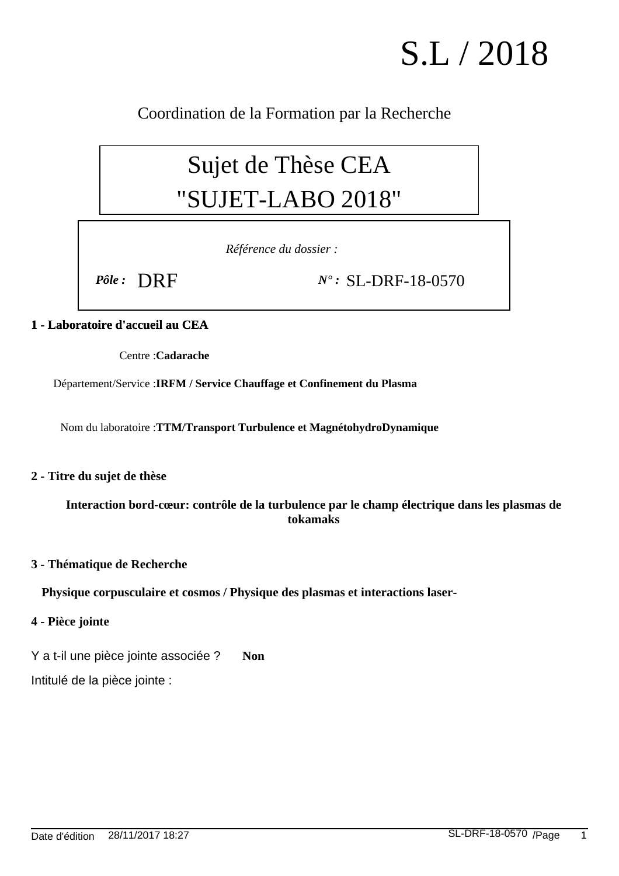# S.L / 2018

Coordination de la Formation par la Recherche

## Sujet de Thèse CEA "SUJET-LABO 2018"

*Référence du dossier :*

*Pôle :* DRF *N° :* SL-DRF-18-0570

### **1 - Laboratoire d'accueil au CEA**

Centre : **Cadarache**

Département/Service : **IRFM / Service Chauffage et Confinement du Plasma**

Nom du laboratoire : **TTM/Transport Turbulence et MagnétohydroDynamique**

#### **2 - Titre du sujet de thèse**

**Interaction bord-cœur: contrôle de la turbulence par le champ électrique dans les plasmas de tokamaks**

#### **3 - Thématique de Recherche**

**Physique corpusculaire et cosmos / Physique des plasmas et interactions laser-**

#### **4 - Pièce jointe**

Y a t-il une pièce jointe associée ? **Non**

Intitulé de la pièce jointe :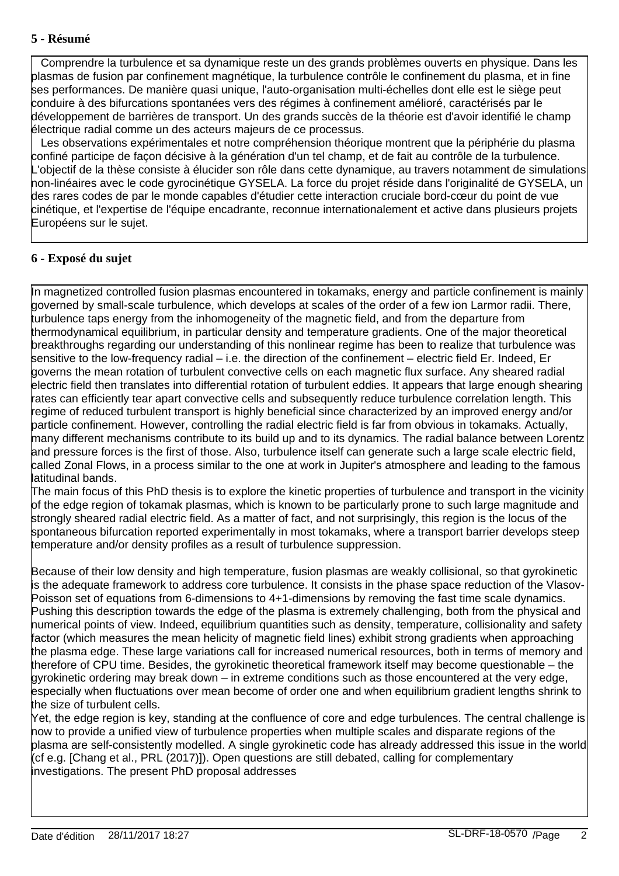#### **5 - Résumé**

 Comprendre la turbulence et sa dynamique reste un des grands problèmes ouverts en physique. Dans les plasmas de fusion par confinement magnétique, la turbulence contrôle le confinement du plasma, et in fine ses performances. De manière quasi unique, l'auto-organisation multi-échelles dont elle est le siège peut conduire à des bifurcations spontanées vers des régimes à confinement amélioré, caractérisés par le développement de barrières de transport. Un des grands succès de la théorie est d'avoir identifié le champ électrique radial comme un des acteurs majeurs de ce processus.

 Les observations expérimentales et notre compréhension théorique montrent que la périphérie du plasma confiné participe de façon décisive à la génération d'un tel champ, et de fait au contrôle de la turbulence. L'objectif de la thèse consiste à élucider son rôle dans cette dynamique, au travers notamment de simulations non-linéaires avec le code gyrocinétique GYSELA. La force du projet réside dans l'originalité de GYSELA, un des rares codes de par le monde capables d'étudier cette interaction cruciale bord-cœur du point de vue cinétique, et l'expertise de l'équipe encadrante, reconnue internationalement et active dans plusieurs projets Européens sur le sujet.

#### **6 - Exposé du sujet**

In magnetized controlled fusion plasmas encountered in tokamaks, energy and particle confinement is mainly governed by small-scale turbulence, which develops at scales of the order of a few ion Larmor radii. There, turbulence taps energy from the inhomogeneity of the magnetic field, and from the departure from thermodynamical equilibrium, in particular density and temperature gradients. One of the major theoretical breakthroughs regarding our understanding of this nonlinear regime has been to realize that turbulence was sensitive to the low-frequency radial – i.e. the direction of the confinement – electric field Er. Indeed, Er governs the mean rotation of turbulent convective cells on each magnetic flux surface. Any sheared radial electric field then translates into differential rotation of turbulent eddies. It appears that large enough shearing rates can efficiently tear apart convective cells and subsequently reduce turbulence correlation length. This regime of reduced turbulent transport is highly beneficial since characterized by an improved energy and/or particle confinement. However, controlling the radial electric field is far from obvious in tokamaks. Actually, many different mechanisms contribute to its build up and to its dynamics. The radial balance between Lorentz and pressure forces is the first of those. Also, turbulence itself can generate such a large scale electric field, called Zonal Flows, in a process similar to the one at work in Jupiter's atmosphere and leading to the famous latitudinal bands.

The main focus of this PhD thesis is to explore the kinetic properties of turbulence and transport in the vicinity of the edge region of tokamak plasmas, which is known to be particularly prone to such large magnitude and strongly sheared radial electric field. As a matter of fact, and not surprisingly, this region is the locus of the spontaneous bifurcation reported experimentally in most tokamaks, where a transport barrier develops steep temperature and/or density profiles as a result of turbulence suppression.

Because of their low density and high temperature, fusion plasmas are weakly collisional, so that gyrokinetic is the adequate framework to address core turbulence. It consists in the phase space reduction of the Vlasov-Poisson set of equations from 6-dimensions to 4+1-dimensions by removing the fast time scale dynamics. Pushing this description towards the edge of the plasma is extremely challenging, both from the physical and numerical points of view. Indeed, equilibrium quantities such as density, temperature, collisionality and safety factor (which measures the mean helicity of magnetic field lines) exhibit strong gradients when approaching the plasma edge. These large variations call for increased numerical resources, both in terms of memory and therefore of CPU time. Besides, the gyrokinetic theoretical framework itself may become questionable – the gyrokinetic ordering may break down – in extreme conditions such as those encountered at the very edge, especially when fluctuations over mean become of order one and when equilibrium gradient lengths shrink to the size of turbulent cells.

Yet, the edge region is key, standing at the confluence of core and edge turbulences. The central challenge is now to provide a unified view of turbulence properties when multiple scales and disparate regions of the plasma are self-consistently modelled. A single gyrokinetic code has already addressed this issue in the world (cf e.g. [Chang et al., PRL (2017)]). Open questions are still debated, calling for complementary investigations. The present PhD proposal addresses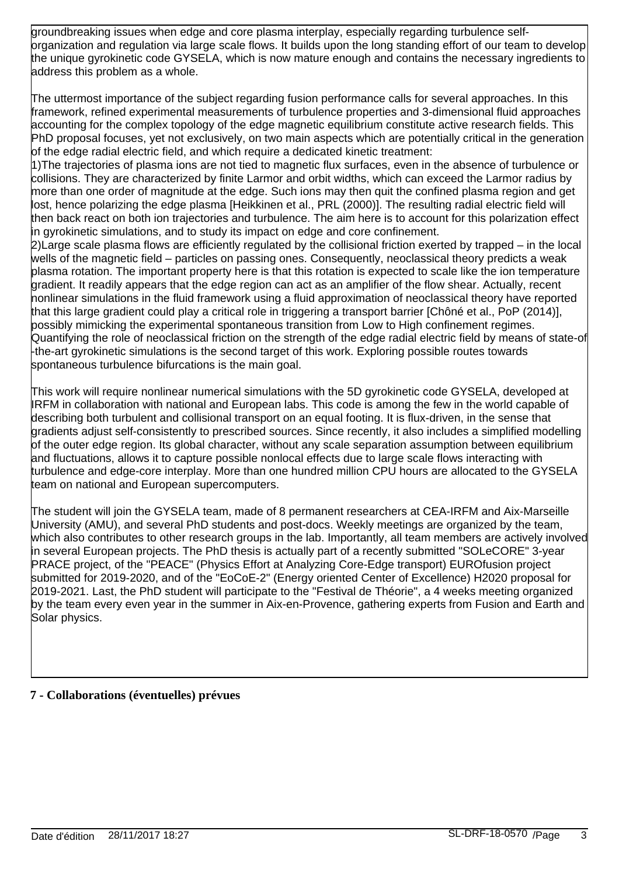groundbreaking issues when edge and core plasma interplay, especially regarding turbulence selforganization and regulation via large scale flows. It builds upon the long standing effort of our team to develop the unique gyrokinetic code GYSELA, which is now mature enough and contains the necessary ingredients to address this problem as a whole.

The uttermost importance of the subject regarding fusion performance calls for several approaches. In this framework, refined experimental measurements of turbulence properties and 3-dimensional fluid approaches accounting for the complex topology of the edge magnetic equilibrium constitute active research fields. This PhD proposal focuses, yet not exclusively, on two main aspects which are potentially critical in the generation of the edge radial electric field, and which require a dedicated kinetic treatment:

1) The trajectories of plasma ions are not tied to magnetic flux surfaces, even in the absence of turbulence or collisions. They are characterized by finite Larmor and orbit widths, which can exceed the Larmor radius by more than one order of magnitude at the edge. Such ions may then quit the confined plasma region and get lost, hence polarizing the edge plasma [Heikkinen et al., PRL (2000)]. The resulting radial electric field will then back react on both ion trajectories and turbulence. The aim here is to account for this polarization effect in gyrokinetic simulations, and to study its impact on edge and core confinement.

2) Large scale plasma flows are efficiently regulated by the collisional friction exerted by trapped – in the local wells of the magnetic field – particles on passing ones. Consequently, neoclassical theory predicts a weak plasma rotation. The important property here is that this rotation is expected to scale like the ion temperature gradient. It readily appears that the edge region can act as an amplifier of the flow shear. Actually, recent nonlinear simulations in the fluid framework using a fluid approximation of neoclassical theory have reported that this large gradient could play a critical role in triggering a transport barrier [Chôné et al., PoP (2014)], possibly mimicking the experimental spontaneous transition from Low to High confinement regimes. Quantifying the role of neoclassical friction on the strength of the edge radial electric field by means of state-of -the-art gyrokinetic simulations is the second target of this work. Exploring possible routes towards spontaneous turbulence bifurcations is the main goal.

This work will require nonlinear numerical simulations with the 5D gyrokinetic code GYSELA, developed at IRFM in collaboration with national and European labs. This code is among the few in the world capable of describing both turbulent and collisional transport on an equal footing. It is flux-driven, in the sense that gradients adjust self-consistently to prescribed sources. Since recently, it also includes a simplified modelling of the outer edge region. Its global character, without any scale separation assumption between equilibrium and fluctuations, allows it to capture possible nonlocal effects due to large scale flows interacting with turbulence and edge-core interplay. More than one hundred million CPU hours are allocated to the GYSELA team on national and European supercomputers.

The student will join the GYSELA team, made of 8 permanent researchers at CEA-IRFM and Aix-Marseille University (AMU), and several PhD students and post-docs. Weekly meetings are organized by the team, which also contributes to other research groups in the lab. Importantly, all team members are actively involved in several European projects. The PhD thesis is actually part of a recently submitted "SOLeCORE" 3-year PRACE project, of the "PEACE" (Physics Effort at Analyzing Core-Edge transport) EUROfusion project submitted for 2019-2020, and of the "EoCoE-2" (Energy oriented Center of Excellence) H2020 proposal for 2019-2021. Last, the PhD student will participate to the "Festival de Théorie", a 4 weeks meeting organized by the team every even year in the summer in Aix-en-Provence, gathering experts from Fusion and Earth and Solar physics.

#### **7 - Collaborations (éventuelles) prévues**